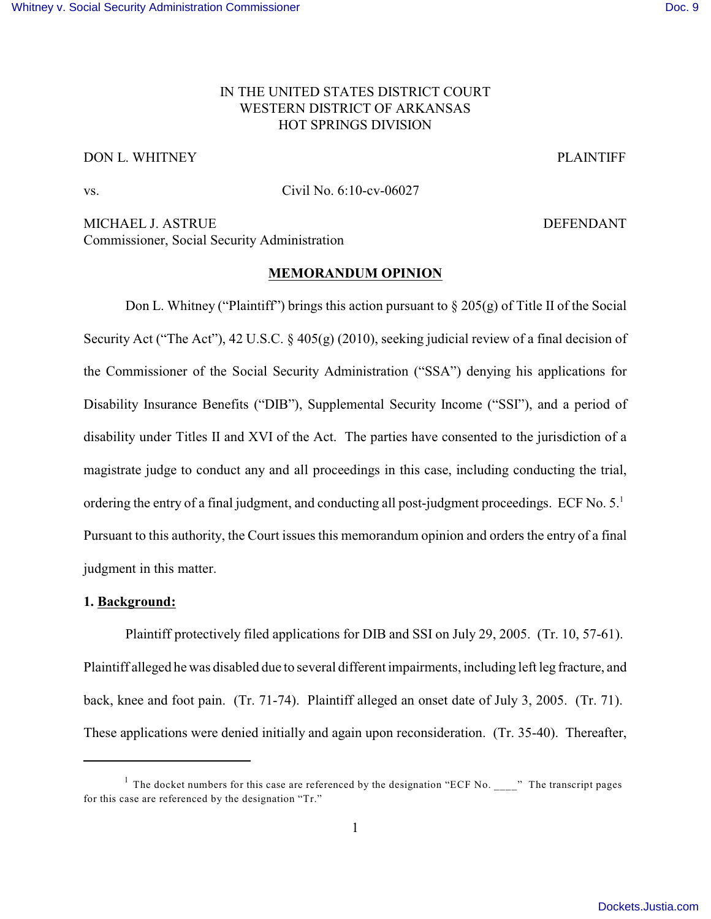# IN THE UNITED STATES DISTRICT COURT WESTERN DISTRICT OF ARKANSAS HOT SPRINGS DIVISION

## DON L. WHITNEY PLAINTIFF

vs. Civil No. 6:10-cv-06027

MICHAEL J. ASTRUE **DEFENDANT** Commissioner, Social Security Administration

#### **MEMORANDUM OPINION**

Don L. Whitney ("Plaintiff") brings this action pursuant to  $\S 205(g)$  of Title II of the Social Security Act ("The Act"), 42 U.S.C. § 405(g) (2010), seeking judicial review of a final decision of the Commissioner of the Social Security Administration ("SSA") denying his applications for Disability Insurance Benefits ("DIB"), Supplemental Security Income ("SSI"), and a period of disability under Titles II and XVI of the Act. The parties have consented to the jurisdiction of a magistrate judge to conduct any and all proceedings in this case, including conducting the trial, ordering the entry of a final judgment, and conducting all post-judgment proceedings. ECF No. 5.<sup>1</sup> Pursuant to this authority, the Court issues this memorandum opinion and orders the entry of a final judgment in this matter.

## **1. Background:**

Plaintiff protectively filed applications for DIB and SSI on July 29, 2005. (Tr. 10, 57-61). Plaintiff alleged he was disabled due to several different impairments, including left leg fracture, and back, knee and foot pain. (Tr. 71-74). Plaintiff alleged an onset date of July 3, 2005. (Tr. 71). These applications were denied initially and again upon reconsideration. (Tr. 35-40). Thereafter,

<sup>&</sup>lt;sup>1</sup> The docket numbers for this case are referenced by the designation "ECF No. \_\_\_\_" The transcript pages for this case are referenced by the designation "Tr."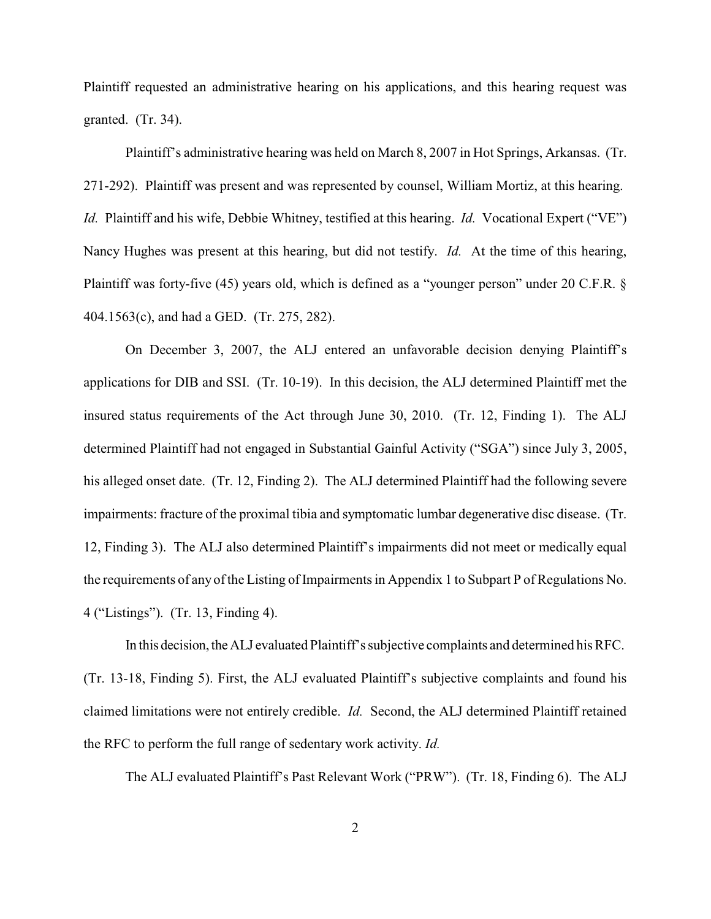Plaintiff requested an administrative hearing on his applications, and this hearing request was granted. (Tr. 34).

Plaintiff's administrative hearing was held on March 8, 2007 in Hot Springs, Arkansas. (Tr. 271-292). Plaintiff was present and was represented by counsel, William Mortiz, at this hearing. *Id.* Plaintiff and his wife, Debbie Whitney, testified at this hearing. *Id.* Vocational Expert ("VE") Nancy Hughes was present at this hearing, but did not testify. *Id.* At the time of this hearing, Plaintiff was forty-five (45) years old, which is defined as a "younger person" under 20 C.F.R. § 404.1563(c), and had a GED. (Tr. 275, 282).

On December 3, 2007, the ALJ entered an unfavorable decision denying Plaintiff's applications for DIB and SSI. (Tr. 10-19). In this decision, the ALJ determined Plaintiff met the insured status requirements of the Act through June 30, 2010. (Tr. 12, Finding 1). The ALJ determined Plaintiff had not engaged in Substantial Gainful Activity ("SGA") since July 3, 2005, his alleged onset date. (Tr. 12, Finding 2). The ALJ determined Plaintiff had the following severe impairments: fracture of the proximal tibia and symptomatic lumbar degenerative disc disease. (Tr. 12, Finding 3). The ALJ also determined Plaintiff's impairments did not meet or medically equal the requirements of any of the Listing of Impairments in Appendix 1 to Subpart P of Regulations No. 4 ("Listings"). (Tr. 13, Finding 4).

In this decision, theALJ evaluated Plaintiff's subjective complaints and determined his RFC. (Tr. 13-18, Finding 5). First, the ALJ evaluated Plaintiff's subjective complaints and found his claimed limitations were not entirely credible. *Id.* Second, the ALJ determined Plaintiff retained the RFC to perform the full range of sedentary work activity. *Id.*

The ALJ evaluated Plaintiff's Past Relevant Work ("PRW"). (Tr. 18, Finding 6). The ALJ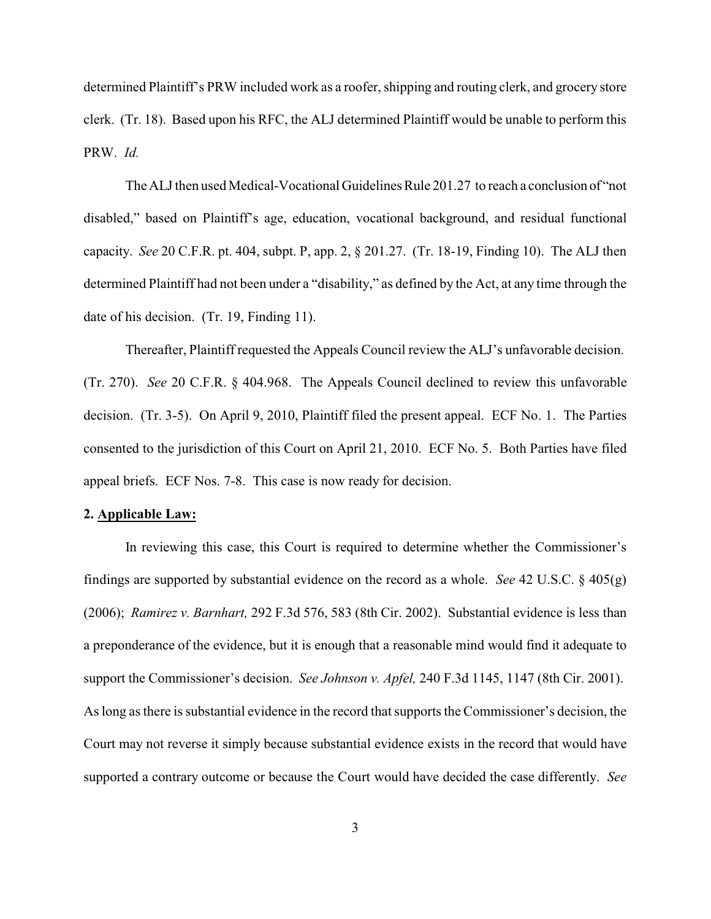determined Plaintiff's PRW included work as a roofer, shipping and routing clerk, and grocery store clerk. (Tr. 18). Based upon his RFC, the ALJ determined Plaintiff would be unable to perform this PRW. *Id.* 

The ALJ then used Medical-Vocational Guidelines Rule 201.27 to reach a conclusion of "not disabled," based on Plaintiff's age, education, vocational background, and residual functional capacity. *See* 20 C.F.R. pt. 404, subpt. P, app. 2, § 201.27. (Tr. 18-19, Finding 10). The ALJ then determined Plaintiff had not been under a "disability," as defined by the Act, at any time through the date of his decision. (Tr. 19, Finding 11).

Thereafter, Plaintiff requested the Appeals Council review the ALJ's unfavorable decision. (Tr. 270). *See* 20 C.F.R. § 404.968. The Appeals Council declined to review this unfavorable decision. (Tr. 3-5). On April 9, 2010, Plaintiff filed the present appeal. ECF No. 1. The Parties consented to the jurisdiction of this Court on April 21, 2010. ECF No. 5. Both Parties have filed appeal briefs. ECF Nos. 7-8. This case is now ready for decision.

### **2. Applicable Law:**

In reviewing this case, this Court is required to determine whether the Commissioner's findings are supported by substantial evidence on the record as a whole. *See* 42 U.S.C. § 405(g) (2006); *Ramirez v. Barnhart,* 292 F.3d 576, 583 (8th Cir. 2002). Substantial evidence is less than a preponderance of the evidence, but it is enough that a reasonable mind would find it adequate to support the Commissioner's decision. *See Johnson v. Apfel,* 240 F.3d 1145, 1147 (8th Cir. 2001). As long as there is substantial evidence in the record that supports the Commissioner's decision, the Court may not reverse it simply because substantial evidence exists in the record that would have supported a contrary outcome or because the Court would have decided the case differently. *See*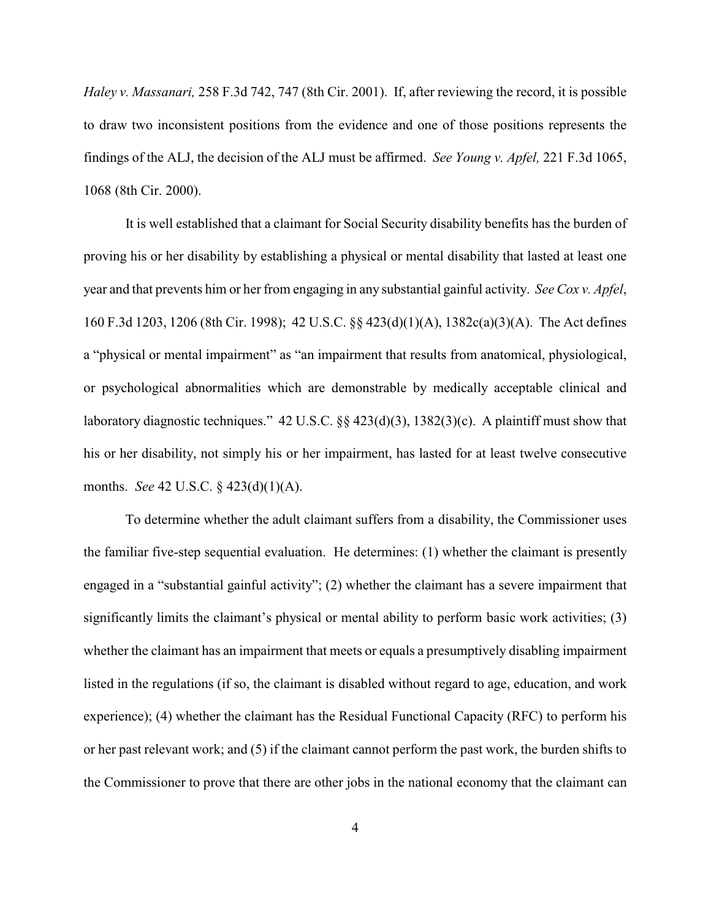*Haley v. Massanari,* 258 F.3d 742, 747 (8th Cir. 2001). If, after reviewing the record, it is possible to draw two inconsistent positions from the evidence and one of those positions represents the findings of the ALJ, the decision of the ALJ must be affirmed. *See Young v. Apfel,* 221 F.3d 1065, 1068 (8th Cir. 2000).

It is well established that a claimant for Social Security disability benefits has the burden of proving his or her disability by establishing a physical or mental disability that lasted at least one year and that prevents him or her from engaging in any substantial gainful activity. *See Cox v. Apfel*, 160 F.3d 1203, 1206 (8th Cir. 1998); 42 U.S.C. §§ 423(d)(1)(A), 1382c(a)(3)(A). The Act defines a "physical or mental impairment" as "an impairment that results from anatomical, physiological, or psychological abnormalities which are demonstrable by medically acceptable clinical and laboratory diagnostic techniques." 42 U.S.C. §§ 423(d)(3), 1382(3)(c). A plaintiff must show that his or her disability, not simply his or her impairment, has lasted for at least twelve consecutive months. *See* 42 U.S.C. § 423(d)(1)(A).

To determine whether the adult claimant suffers from a disability, the Commissioner uses the familiar five-step sequential evaluation. He determines: (1) whether the claimant is presently engaged in a "substantial gainful activity"; (2) whether the claimant has a severe impairment that significantly limits the claimant's physical or mental ability to perform basic work activities; (3) whether the claimant has an impairment that meets or equals a presumptively disabling impairment listed in the regulations (if so, the claimant is disabled without regard to age, education, and work experience); (4) whether the claimant has the Residual Functional Capacity (RFC) to perform his or her past relevant work; and (5) if the claimant cannot perform the past work, the burden shifts to the Commissioner to prove that there are other jobs in the national economy that the claimant can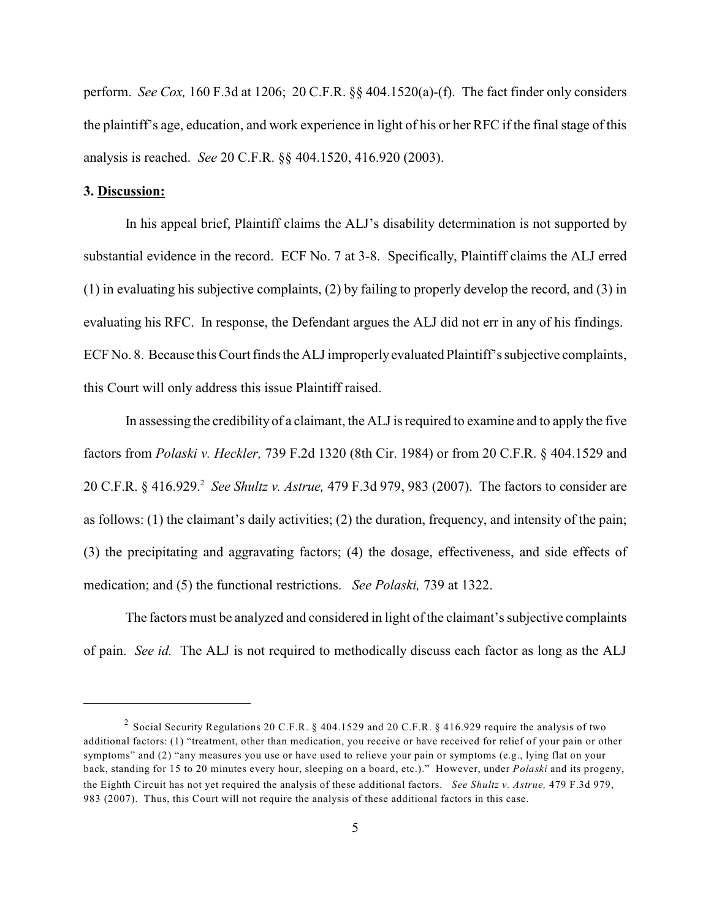perform. *See Cox,* 160 F.3d at 1206; 20 C.F.R. §§ 404.1520(a)-(f). The fact finder only considers the plaintiff's age, education, and work experience in light of his or her RFC if the final stage of this analysis is reached. *See* 20 C.F.R. §§ 404.1520, 416.920 (2003).

## **3. Discussion:**

In his appeal brief, Plaintiff claims the ALJ's disability determination is not supported by substantial evidence in the record. ECF No. 7 at 3-8. Specifically, Plaintiff claims the ALJ erred (1) in evaluating his subjective complaints, (2) by failing to properly develop the record, and (3) in evaluating his RFC. In response, the Defendant argues the ALJ did not err in any of his findings. ECF No. 8. Because this Court finds the ALJ improperly evaluated Plaintiff's subjective complaints, this Court will only address this issue Plaintiff raised.

In assessing the credibility of a claimant, the ALJ is required to examine and to apply the five factors from *Polaski v. Heckler,* 739 F.2d 1320 (8th Cir. 1984) or from 20 C.F.R. § 404.1529 and 20 C.F.R. § 416.929. *See Shultz v. Astrue,* 479 F.3d 979, 983 (2007). The factors to consider are <sup>2</sup> as follows: (1) the claimant's daily activities; (2) the duration, frequency, and intensity of the pain; (3) the precipitating and aggravating factors; (4) the dosage, effectiveness, and side effects of medication; and (5) the functional restrictions. *See Polaski,* 739 at 1322.

The factors must be analyzed and considered in light of the claimant's subjective complaints of pain. *See id.* The ALJ is not required to methodically discuss each factor as long as the ALJ

<sup>&</sup>lt;sup>2</sup> Social Security Regulations 20 C.F.R. § 404.1529 and 20 C.F.R. § 416.929 require the analysis of two additional factors: (1) "treatment, other than medication, you receive or have received for relief of your pain or other symptoms" and (2) "any measures you use or have used to relieve your pain or symptoms (e.g., lying flat on your back, standing for 15 to 20 minutes every hour, sleeping on a board, etc.)." However, under *Polaski* and its progeny, the Eighth Circuit has not yet required the analysis of these additional factors. *See Shultz v. Astrue,* 479 F.3d 979, 983 (2007). Thus, this Court will not require the analysis of these additional factors in this case.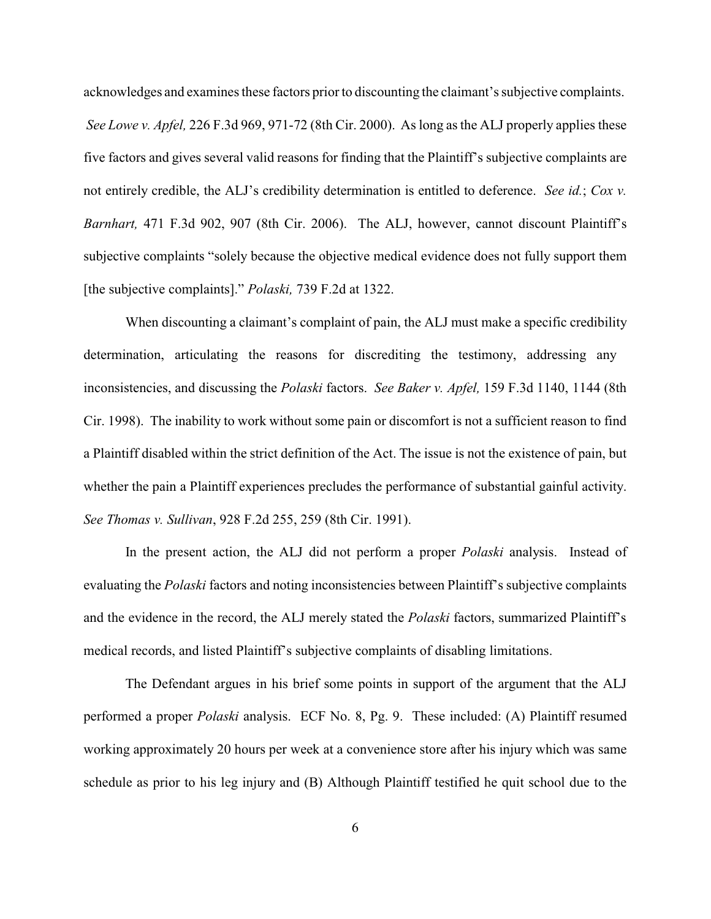acknowledges and examines these factors prior to discounting the claimant's subjective complaints. *See Lowe v. Apfel,* 226 F.3d 969, 971-72 (8th Cir. 2000). As long as the ALJ properly applies these five factors and gives several valid reasons for finding that the Plaintiff's subjective complaints are not entirely credible, the ALJ's credibility determination is entitled to deference. *See id.*; *Cox v. Barnhart,* 471 F.3d 902, 907 (8th Cir. 2006). The ALJ, however, cannot discount Plaintiff's subjective complaints "solely because the objective medical evidence does not fully support them [the subjective complaints]." *Polaski,* 739 F.2d at 1322.

When discounting a claimant's complaint of pain, the ALJ must make a specific credibility determination, articulating the reasons for discrediting the testimony, addressing any inconsistencies, and discussing the *Polaski* factors. *See Baker v. Apfel,* 159 F.3d 1140, 1144 (8th Cir. 1998). The inability to work without some pain or discomfort is not a sufficient reason to find a Plaintiff disabled within the strict definition of the Act. The issue is not the existence of pain, but whether the pain a Plaintiff experiences precludes the performance of substantial gainful activity. *See Thomas v. Sullivan*, 928 F.2d 255, 259 (8th Cir. 1991).

In the present action, the ALJ did not perform a proper *Polaski* analysis. Instead of evaluating the *Polaski* factors and noting inconsistencies between Plaintiff's subjective complaints and the evidence in the record, the ALJ merely stated the *Polaski* factors, summarized Plaintiff's medical records, and listed Plaintiff's subjective complaints of disabling limitations.

The Defendant argues in his brief some points in support of the argument that the ALJ performed a proper *Polaski* analysis. ECF No. 8, Pg. 9. These included: (A) Plaintiff resumed working approximately 20 hours per week at a convenience store after his injury which was same schedule as prior to his leg injury and (B) Although Plaintiff testified he quit school due to the